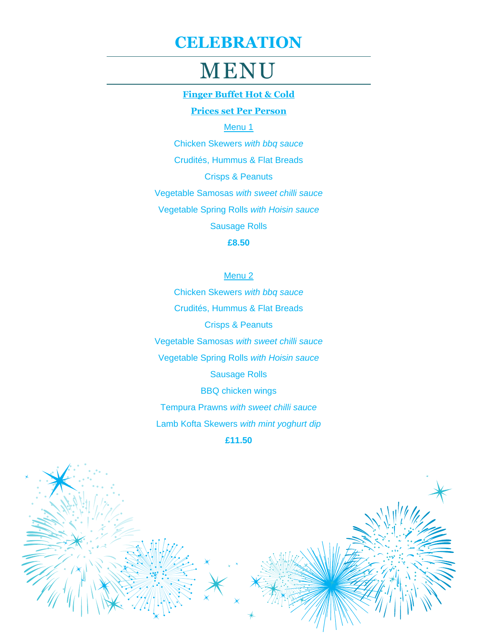# MENU

### **Finger Buffet Hot & Cold**

### **Prices set Per Person**

Menu<sub>1</sub>

Chicken Skewers *with bbq sauce* Crudités, Hummus & Flat Breads Crisps & Peanuts Vegetable Samosas *with sweet chilli sauce* Vegetable Spring Rolls *with Hoisin sauce* Sausage Rolls **£8.50**

#### Menu 2

Chicken Skewers *with bbq sauce* Crudités, Hummus & Flat Breads Crisps & Peanuts Vegetable Samosas *with sweet chilli sauce* Vegetable Spring Rolls *with Hoisin sauce* Sausage Rolls BBQ chicken wings Tempura Prawns *with sweet chilli sauce* Lamb Kofta Skewers *with mint yoghurt dip* **£11.50**

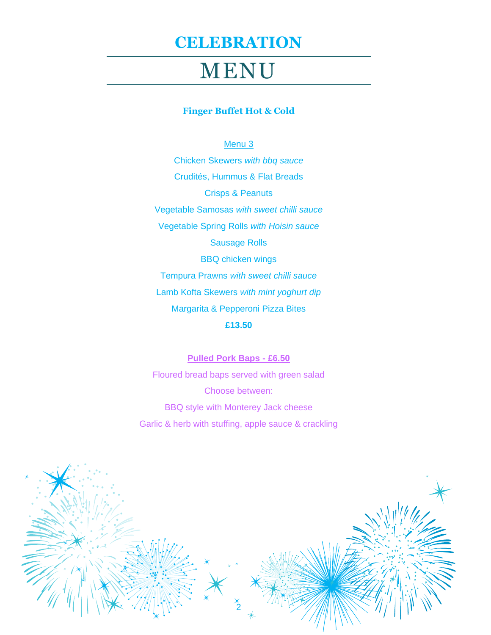# MENU

### **Finger Buffet Hot & Cold**

### Menu<sub>3</sub>

Chicken Skewers *with bbq sauce* Crudités, Hummus & Flat Breads Crisps & Peanuts Vegetable Samosas *with sweet chilli sauce* Vegetable Spring Rolls *with Hoisin sauce* Sausage Rolls BBQ chicken wings Tempura Prawns *with sweet chilli sauce* Lamb Kofta Skewers *with mint yoghurt dip* Margarita & Pepperoni Pizza Bites

### **£13.50**

**Pulled Pork Baps - £6.50** Floured bread baps served with green salad Choose between: BBQ style with Monterey Jack cheese Garlic & herb with stuffing, apple sauce & crackling

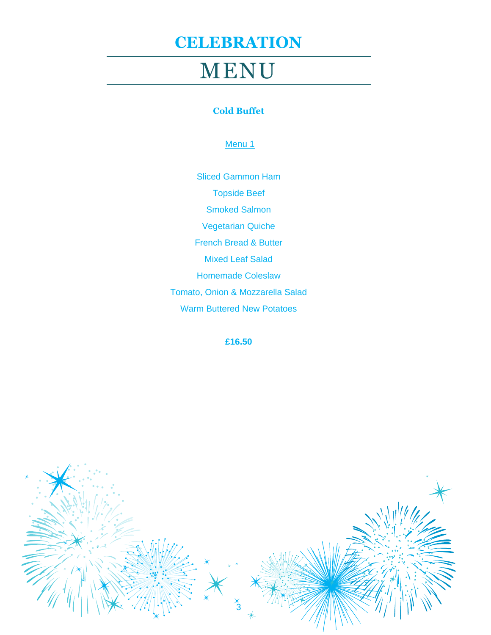# MENU

### **Cold Buffet**

### Menu 1

Sliced Gammon Ham Topside Beef Smoked Salmon Vegetarian Quiche French Bread & Butter Mixed Leaf Salad Homemade Coleslaw Tomato, Onion & Mozzarella Salad Warm Buttered New Potatoes

**£16.50**

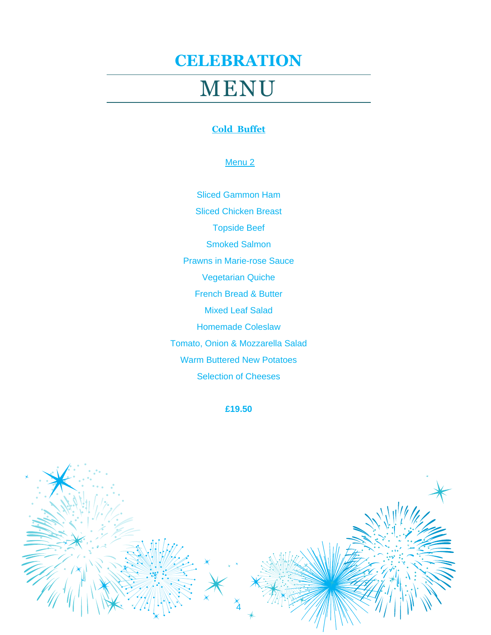# MENU

### **Cold Buffet**

### Menu 2

Sliced Gammon Ham Sliced Chicken Breast Topside Beef Smoked Salmon Prawns in Marie-rose Sauce Vegetarian Quiche French Bread & Butter Mixed Leaf Salad Homemade Coleslaw Tomato, Onion & Mozzarella Salad Warm Buttered New Potatoes Selection of Cheeses

**£19.50**

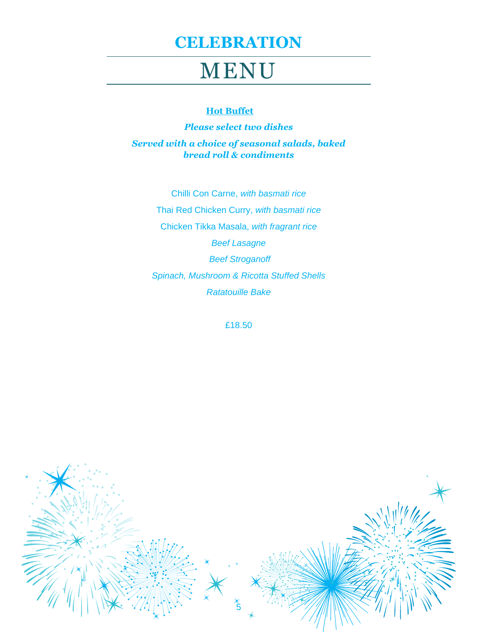# MENU

#### **Hot Buffet**

*Please select two dishes Served with a choice of seasonal salads, baked bread roll & condiments* 

Chilli Con Carne, *with basmati rice* Thai Red Chicken Curry, *with basmati rice*  Chicken Tikka Masala, *with fragrant rice Beef Lasagne Beef Stroganoff Spinach, Mushroom & Ricotta Stuffed Shells Ratatouille Bake*

£18.50